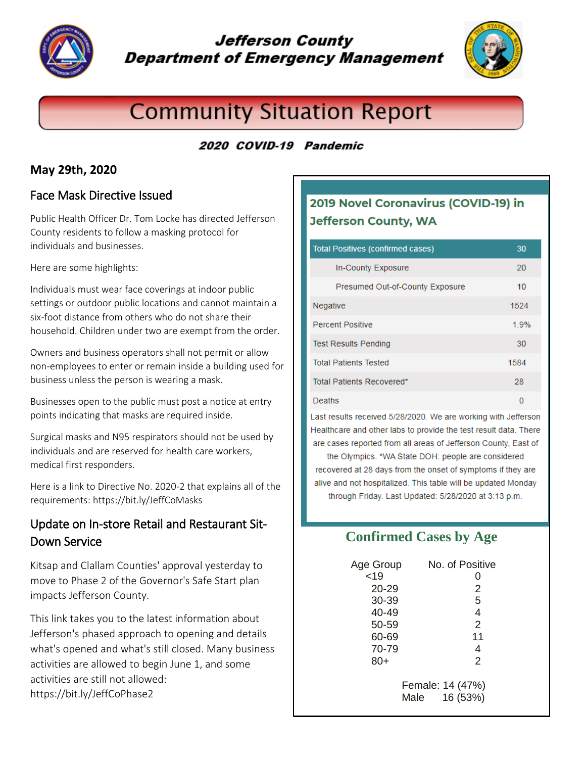

# **Jefferson County Department of Emergency Management**



# **Community Situation Report**

# 2020 COVID-19 Pandemic

# **May 29th, 2020**

# Face Mask Directive Issued

Public Health Officer Dr. Tom Locke has directed Jefferson County residents to follow a masking protocol for individuals and businesses.

Here are some highlights:

Individuals must wear face coverings at indoor public settings or outdoor public locations and cannot maintain a six-foot distance from others who do not share their household. Children under two are exempt from the order.

Owners and business operators shall not permit or allow non-employees to enter or remain inside a building used for business unless the person is wearing a mask.

Businesses open to the public must post a notice at entry points indicating that masks are required inside.

Surgical masks and N95 respirators should not be used by individuals and are reserved for health care workers, medical first responders.

Here is a link to Directive No. 2020-2 that explains all of the requirements: https://bit.ly/JeffCoMasks

# Update on In-store Retail and Restaurant Sit-Down Service

Kitsap and Clallam Counties' approval yesterday to move to Phase 2 of the Governor's Safe Start plan impacts Jefferson County.

This link takes you to the latest information about Jefferson's phased approach to opening and details what's opened and what's still closed. Many business activities are allowed to begin June 1, and some activities are still not allowed: https://bit.ly/JeffCoPhase2

# 2019 Novel Coronavirus (COVID-19) in **Jefferson County, WA**

#### Total Positives (confirmed cases) 30 In-County Exposure  $20<sub>1</sub>$ Presumed Out-of-County Exposure  $10<sup>1</sup>$ Negative 1524 Percent Positive 1.9% **Test Results Pending** 30 **Total Patients Tested** 1584 Total Patients Recovered\* 28 Deaths n

Last results received 5/28/2020. We are working with Jefferson Healthcare and other labs to provide the test result data. There are cases reported from all areas of Jefferson County, East of

the Olympics. \*WA State DOH: people are considered recovered at 28 days from the onset of symptoms if they are alive and not hospitalized. This table will be updated Monday through Friday. Last Updated: 5/28/2020 at 3:13 p.m.

# **Confirmed Cases by Age**

| Age Group | No. of Positive                      |
|-----------|--------------------------------------|
| < 19      |                                      |
| $20 - 29$ | 2                                    |
| 30-39     | 5                                    |
| 40-49     | 4                                    |
| 50-59     | 2                                    |
| 60-69     | 11                                   |
| 70-79     | 4                                    |
| $80+$     | 2                                    |
|           | Female: 14 (47%)<br>16 (53%)<br>Male |